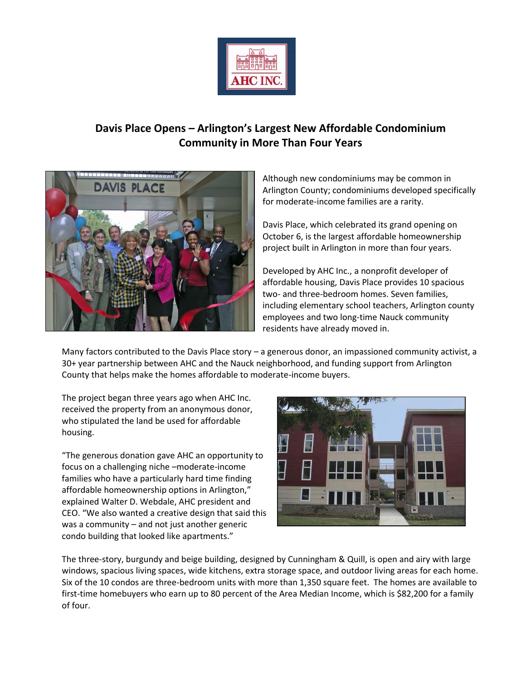

## **Davis Place Opens – Arlington's Largest New Affordable Condominium Community in More Than Four Years**



Although new condominiums may be common in Arlington County; condominiums developed specifically for moderate-income families are a rarity.

Davis Place, which celebrated its grand opening on October 6, is the largest affordable homeownership project built in Arlington in more than four years.

Developed by AHC Inc., a nonprofit developer of affordable housing, Davis Place provides 10 spacious two- and three-bedroom homes. Seven families, including elementary school teachers, Arlington county employees and two long-time Nauck community residents have already moved in.

Many factors contributed to the Davis Place story – a generous donor, an impassioned community activist, a 30+ year partnership between AHC and the Nauck neighborhood, and funding support from Arlington County that helps make the homes affordable to moderate-income buyers.

The project began three years ago when AHC Inc. received the property from an anonymous donor, who stipulated the land be used for affordable housing.

"The generous donation gave AHC an opportunity to focus on a challenging niche –moderate-income families who have a particularly hard time finding affordable homeownership options in Arlington," explained Walter D. Webdale, AHC president and CEO. "We also wanted a creative design that said this was a community – and not just another generic condo building that looked like apartments."



The three-story, burgundy and beige building, designed by Cunningham & Quill, is open and airy with large windows, spacious living spaces, wide kitchens, extra storage space, and outdoor living areas for each home. Six of the 10 condos are three-bedroom units with more than 1,350 square feet. The homes are available to first-time homebuyers who earn up to 80 percent of the Area Median Income, which is \$82,200 for a family of four.